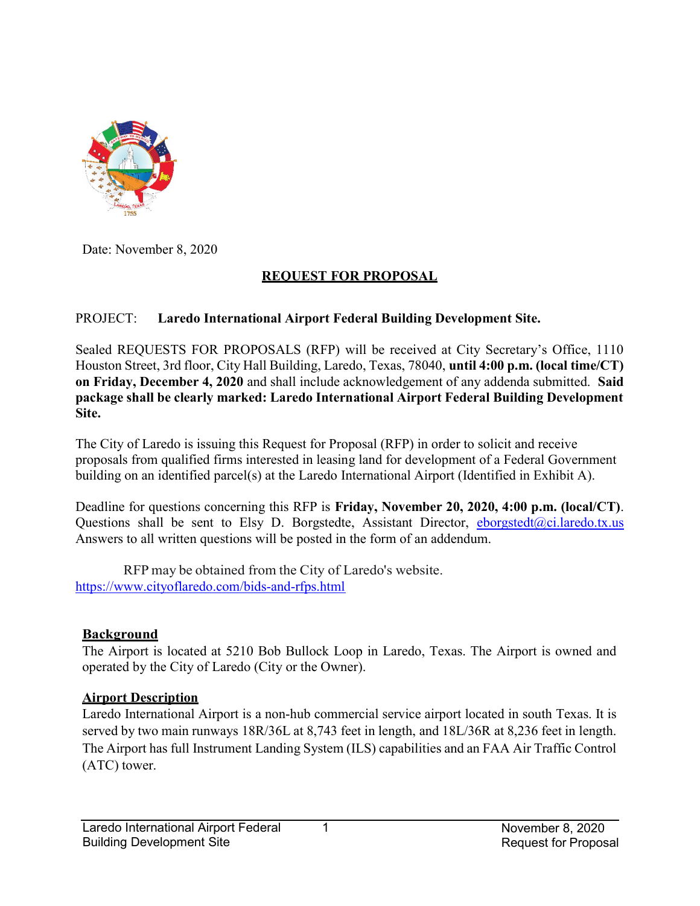

Date: November 8, 2020

#### REQUEST FOR PROPOSAL

#### PROJECT: Laredo International Airport Federal Building Development Site.

Sealed REQUESTS FOR PROPOSALS (RFP) will be received at City Secretary's Office, 1110 Houston Street, 3rd floor, City Hall Building, Laredo, Texas, 78040, until 4:00 p.m. (local time/CT) on Friday, December 4, 2020 and shall include acknowledgement of any addenda submitted. Said package shall be clearly marked: Laredo International Airport Federal Building Development Site.

The City of Laredo is issuing this Request for Proposal (RFP) in order to solicit and receive proposals from qualified firms interested in leasing land for development of a Federal Government building on an identified parcel(s) at the Laredo International Airport (Identified in Exhibit A).

Deadline for questions concerning this RFP is Friday, November 20, 2020, 4:00 p.m. (local/CT). Questions shall be sent to Elsy D. Borgstedte, Assistant Director,  $\frac{e\text{borgstedt}(\hat{a})\text{ci.laredo.txt.us}}{e\text{corgstedt}(\hat{a})\text{ci.laredo.txt.us}}$ Answers to all written questions will be posted in the form of an addendum.

RFP may be obtained from the City of Laredo's website. https://www.cityoflaredo.com/bids-and-rfps.html

#### **Background**

The Airport is located at 5210 Bob Bullock Loop in Laredo, Texas. The Airport is owned and operated by the City of Laredo (City or the Owner).

#### Airport Description

Laredo International Airport is a non-hub commercial service airport located in south Texas. It is served by two main runways 18R/36L at 8,743 feet in length, and 18L/36R at 8,236 feet in length. The Airport has full Instrument Landing System (ILS) capabilities and an FAA Air Traffic Control (ATC) tower.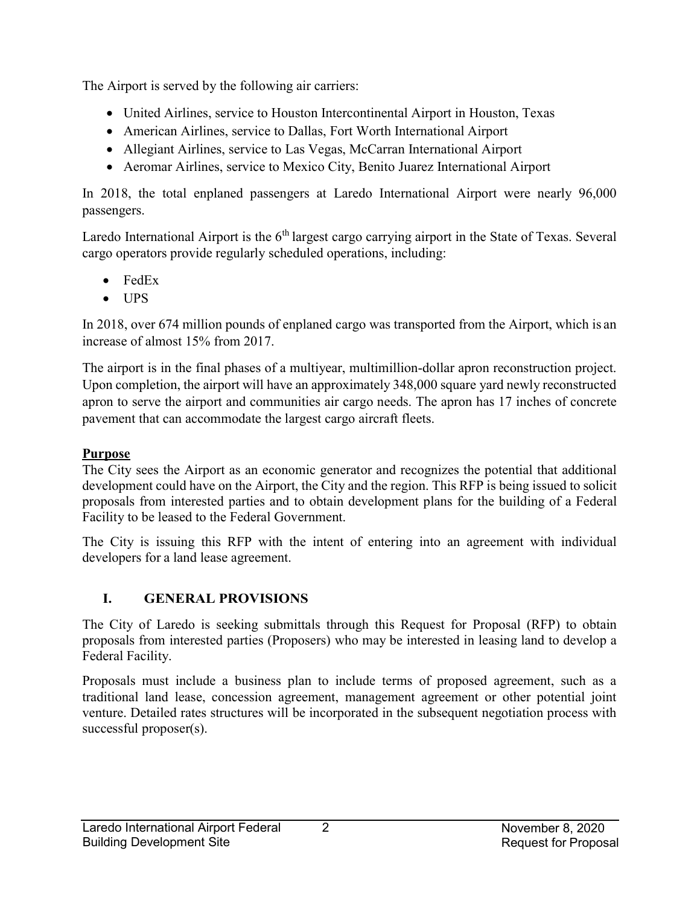The Airport is served by the following air carriers:

- United Airlines, service to Houston Intercontinental Airport in Houston, Texas
- American Airlines, service to Dallas, Fort Worth International Airport
- Allegiant Airlines, service to Las Vegas, McCarran International Airport
- Aeromar Airlines, service to Mexico City, Benito Juarez International Airport

In 2018, the total enplaned passengers at Laredo International Airport were nearly 96,000 passengers.

Laredo International Airport is the  $6<sup>th</sup>$  largest cargo carrying airport in the State of Texas. Several cargo operators provide regularly scheduled operations, including:

- FedEx
- UPS

In 2018, over 674 million pounds of enplaned cargo was transported from the Airport, which is an increase of almost 15% from 2017.

The airport is in the final phases of a multiyear, multimillion-dollar apron reconstruction project. Upon completion, the airport will have an approximately 348,000 square yard newly reconstructed apron to serve the airport and communities air cargo needs. The apron has 17 inches of concrete pavement that can accommodate the largest cargo aircraft fleets.

## **Purpose**

The City sees the Airport as an economic generator and recognizes the potential that additional development could have on the Airport, the City and the region. This RFP is being issued to solicit proposals from interested parties and to obtain development plans for the building of a Federal Facility to be leased to the Federal Government.

The City is issuing this RFP with the intent of entering into an agreement with individual developers for a land lease agreement.

# I. GENERAL PROVISIONS

The City of Laredo is seeking submittals through this Request for Proposal (RFP) to obtain proposals from interested parties (Proposers) who may be interested in leasing land to develop a Federal Facility.

Proposals must include a business plan to include terms of proposed agreement, such as a traditional land lease, concession agreement, management agreement or other potential joint venture. Detailed rates structures will be incorporated in the subsequent negotiation process with successful proposer(s).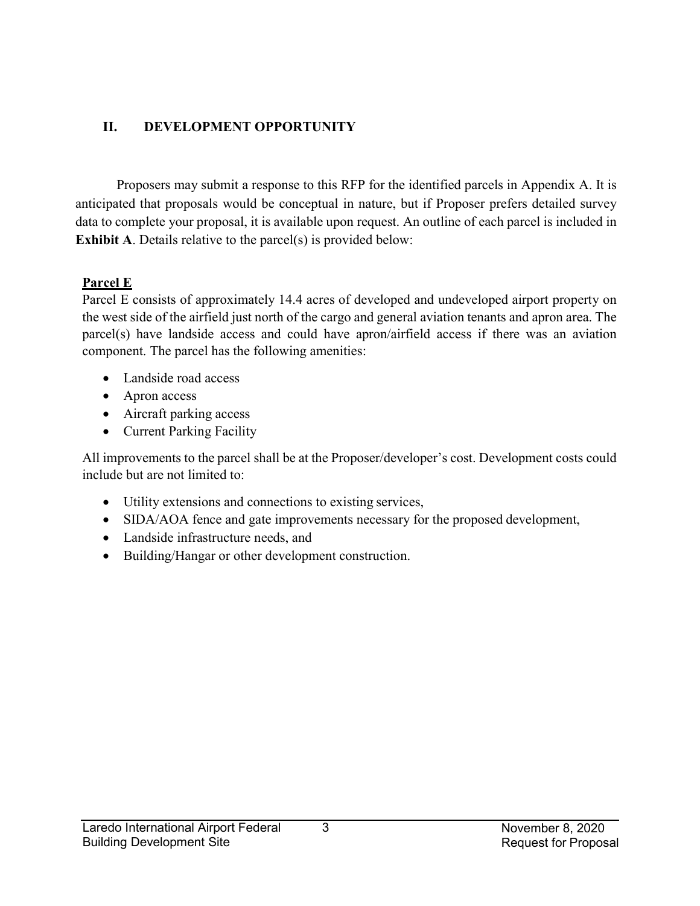### II. DEVELOPMENT OPPORTUNITY

 Proposers may submit a response to this RFP for the identified parcels in Appendix A. It is anticipated that proposals would be conceptual in nature, but if Proposer prefers detailed survey data to complete your proposal, it is available upon request. An outline of each parcel is included in Exhibit A. Details relative to the parcel(s) is provided below:

#### Parcel E

Parcel E consists of approximately 14.4 acres of developed and undeveloped airport property on the west side of the airfield just north of the cargo and general aviation tenants and apron area. The parcel(s) have landside access and could have apron/airfield access if there was an aviation component. The parcel has the following amenities:

- Landside road access
- Apron access
- Aircraft parking access
- Current Parking Facility

All improvements to the parcel shall be at the Proposer/developer's cost. Development costs could include but are not limited to:

- Utility extensions and connections to existing services,
- SIDA/AOA fence and gate improvements necessary for the proposed development,
- Landside infrastructure needs, and
- Building/Hangar or other development construction.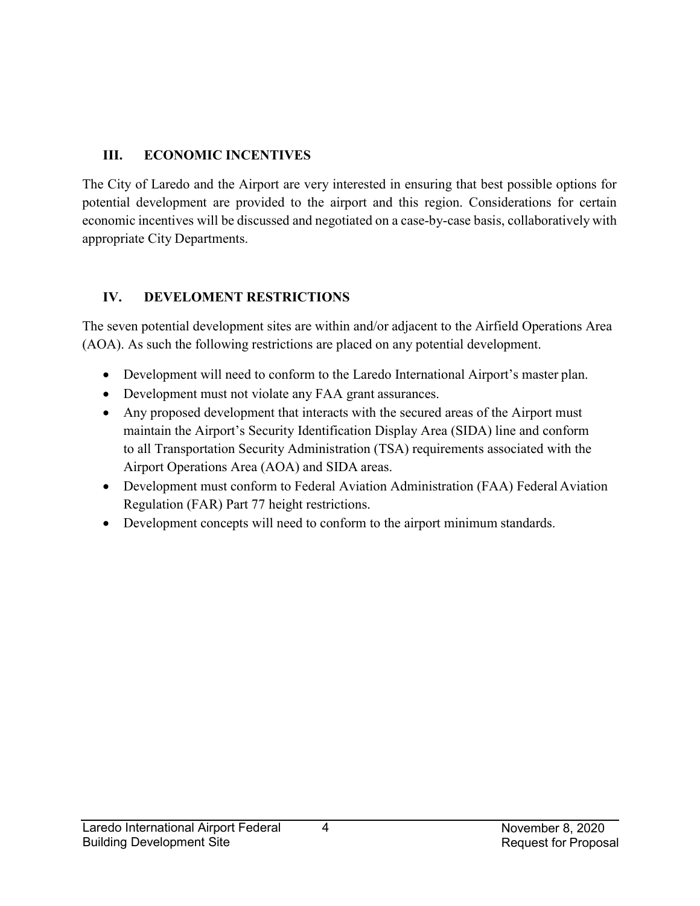## III. ECONOMIC INCENTIVES

The City of Laredo and the Airport are very interested in ensuring that best possible options for potential development are provided to the airport and this region. Considerations for certain economic incentives will be discussed and negotiated on a case-by-case basis, collaboratively with appropriate City Departments.

# IV. DEVELOMENT RESTRICTIONS

The seven potential development sites are within and/or adjacent to the Airfield Operations Area (AOA). As such the following restrictions are placed on any potential development.

- Development will need to conform to the Laredo International Airport's master plan.
- Development must not violate any FAA grant assurances.
- Any proposed development that interacts with the secured areas of the Airport must maintain the Airport's Security Identification Display Area (SIDA) line and conform to all Transportation Security Administration (TSA) requirements associated with the Airport Operations Area (AOA) and SIDA areas.
- Development must conform to Federal Aviation Administration (FAA) Federal Aviation Regulation (FAR) Part 77 height restrictions.
- Development concepts will need to conform to the airport minimum standards.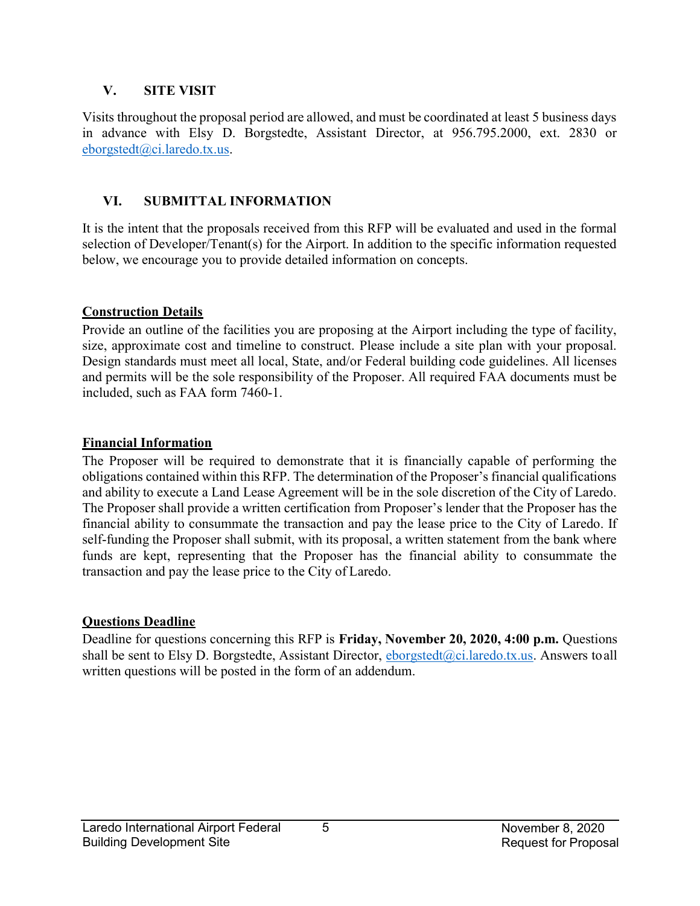#### V. SITE VISIT

Visits throughout the proposal period are allowed, and must be coordinated at least 5 business days in advance with Elsy D. Borgstedte, Assistant Director, at 956.795.2000, ext. 2830 or eborgstedt@ci.laredo.tx.us.

#### VI. SUBMITTAL INFORMATION

It is the intent that the proposals received from this RFP will be evaluated and used in the formal selection of Developer/Tenant(s) for the Airport. In addition to the specific information requested below, we encourage you to provide detailed information on concepts.

#### Construction Details

Provide an outline of the facilities you are proposing at the Airport including the type of facility, size, approximate cost and timeline to construct. Please include a site plan with your proposal. Design standards must meet all local, State, and/or Federal building code guidelines. All licenses and permits will be the sole responsibility of the Proposer. All required FAA documents must be included, such as FAA form 7460-1.

#### Financial Information

The Proposer will be required to demonstrate that it is financially capable of performing the obligations contained within this RFP. The determination of the Proposer's financial qualifications and ability to execute a Land Lease Agreement will be in the sole discretion of the City of Laredo. The Proposer shall provide a written certification from Proposer's lender that the Proposer has the financial ability to consummate the transaction and pay the lease price to the City of Laredo. If self-funding the Proposer shall submit, with its proposal, a written statement from the bank where funds are kept, representing that the Proposer has the financial ability to consummate the transaction and pay the lease price to the City of Laredo.

#### Questions Deadline

Deadline for questions concerning this RFP is Friday, November 20, 2020, 4:00 p.m. Questions shall be sent to Elsy D. Borgstedte, Assistant Director,  $\frac{1}{2}$  borgstedt( $\frac{a}{c}$ ): laredo.tx.us. Answers to all written questions will be posted in the form of an addendum.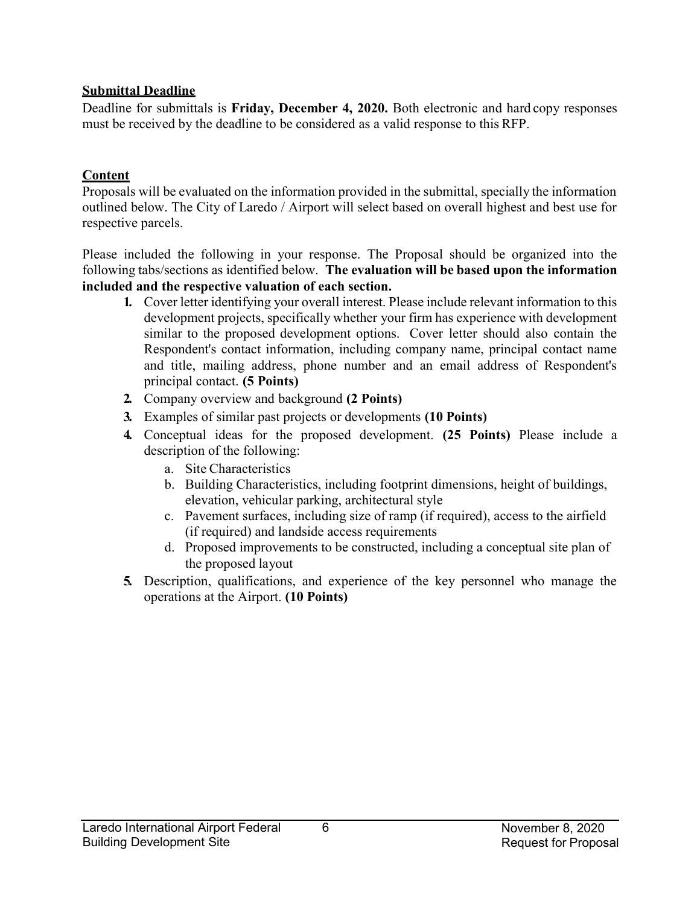#### Submittal Deadline

Deadline for submittals is Friday, December 4, 2020. Both electronic and hard copy responses must be received by the deadline to be considered as a valid response to this RFP.

#### **Content**

Proposals will be evaluated on the information provided in the submittal, specially the information outlined below. The City of Laredo / Airport will select based on overall highest and best use for respective parcels.

Please included the following in your response. The Proposal should be organized into the following tabs/sections as identified below. The evaluation will be based upon the information included and the respective valuation of each section.

- 1. Cover letter identifying your overall interest. Please include relevant information to this development projects, specifically whether your firm has experience with development similar to the proposed development options. Cover letter should also contain the Respondent's contact information, including company name, principal contact name and title, mailing address, phone number and an email address of Respondent's principal contact. (5 Points)
- 2. Company overview and background (2 Points)
- 3. Examples of similar past projects or developments (10 Points)
- 4. Conceptual ideas for the proposed development. (25 Points) Please include a description of the following:
	- a. Site Characteristics
	- b. Building Characteristics, including footprint dimensions, height of buildings, elevation, vehicular parking, architectural style
	- c. Pavement surfaces, including size of ramp (if required), access to the airfield (if required) and landside access requirements
	- d. Proposed improvements to be constructed, including a conceptual site plan of the proposed layout
- 5. Description, qualifications, and experience of the key personnel who manage the operations at the Airport. (10 Points)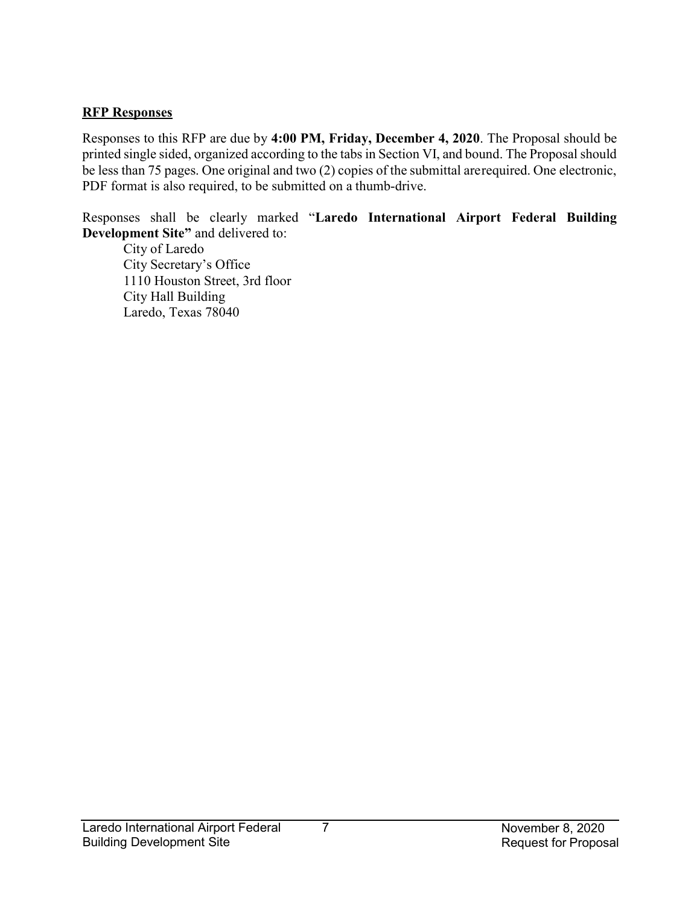#### RFP Responses

Responses to this RFP are due by 4:00 PM, Friday, December 4, 2020. The Proposal should be printed single sided, organized according to the tabs in Section VI, and bound. The Proposal should be less than 75 pages. One original and two (2) copies of the submittal are required. One electronic, PDF format is also required, to be submitted on a thumb-drive.

Responses shall be clearly marked "Laredo International Airport Federal Building Development Site" and delivered to:

City of Laredo City Secretary's Office 1110 Houston Street, 3rd floor City Hall Building Laredo, Texas 78040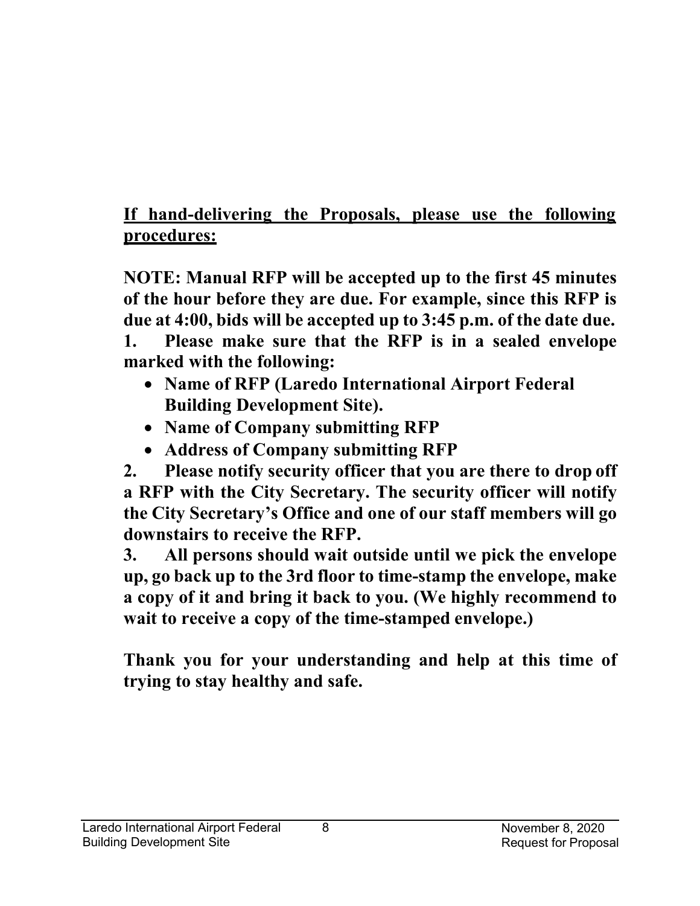# If hand-delivering the Proposals, please use the following procedures:

NOTE: Manual RFP will be accepted up to the first 45 minutes of the hour before they are due. For example, since this RFP is due at 4:00, bids will be accepted up to 3:45 p.m. of the date due. 1. Please make sure that the RFP is in a sealed envelope marked with the following:

- Name of RFP (Laredo International Airport Federal Building Development Site).
- Name of Company submitting RFP
- Address of Company submitting RFP

2. Please notify security officer that you are there to drop off a RFP with the City Secretary. The security officer will notify the City Secretary's Office and one of our staff members will go downstairs to receive the RFP.

3. All persons should wait outside until we pick the envelope up, go back up to the 3rd floor to time-stamp the envelope, make a copy of it and bring it back to you. (We highly recommend to wait to receive a copy of the time-stamped envelope.)

Thank you for your understanding and help at this time of trying to stay healthy and safe.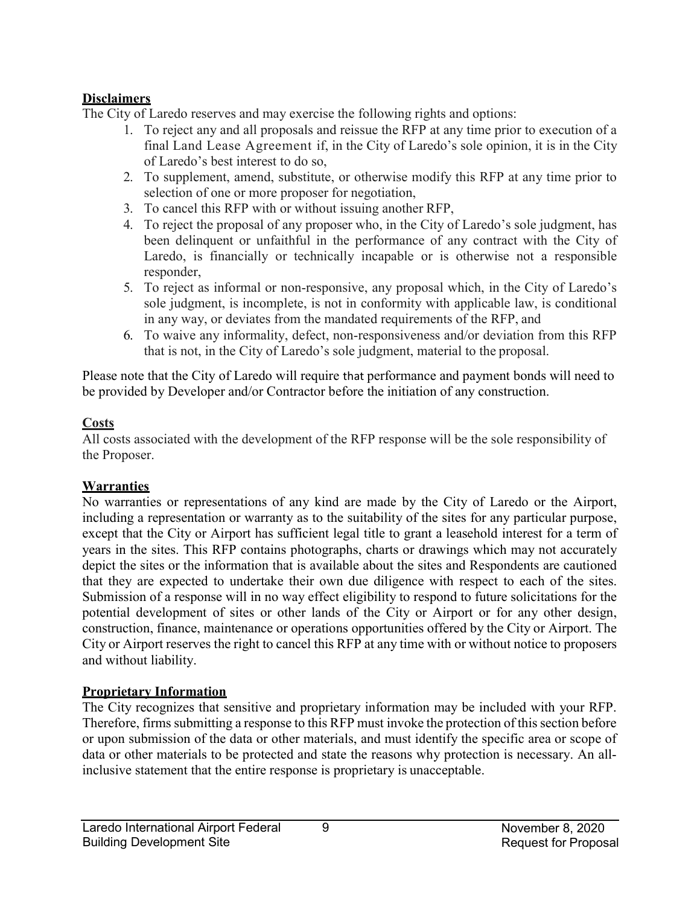#### **Disclaimers**

The City of Laredo reserves and may exercise the following rights and options:

- 1. To reject any and all proposals and reissue the RFP at any time prior to execution of a final Land Lease Agreement if, in the City of Laredo's sole opinion, it is in the City of Laredo's best interest to do so,
- 2. To supplement, amend, substitute, or otherwise modify this RFP at any time prior to selection of one or more proposer for negotiation,
- 3. To cancel this RFP with or without issuing another RFP,
- 4. To reject the proposal of any proposer who, in the City of Laredo's sole judgment, has been delinquent or unfaithful in the performance of any contract with the City of Laredo, is financially or technically incapable or is otherwise not a responsible responder,
- 5. To reject as informal or non-responsive, any proposal which, in the City of Laredo's sole judgment, is incomplete, is not in conformity with applicable law, is conditional in any way, or deviates from the mandated requirements of the RFP, and
- 6. To waive any informality, defect, non-responsiveness and/or deviation from this RFP that is not, in the City of Laredo's sole judgment, material to the proposal.

Please note that the City of Laredo will require that performance and payment bonds will need to be provided by Developer and/or Contractor before the initiation of any construction.

## **Costs**

All costs associated with the development of the RFP response will be the sole responsibility of the Proposer.

# Warranties

No warranties or representations of any kind are made by the City of Laredo or the Airport, including a representation or warranty as to the suitability of the sites for any particular purpose, except that the City or Airport has sufficient legal title to grant a leasehold interest for a term of years in the sites. This RFP contains photographs, charts or drawings which may not accurately depict the sites or the information that is available about the sites and Respondents are cautioned that they are expected to undertake their own due diligence with respect to each of the sites. Submission of a response will in no way effect eligibility to respond to future solicitations for the potential development of sites or other lands of the City or Airport or for any other design, construction, finance, maintenance or operations opportunities offered by the City or Airport. The City or Airport reserves the right to cancel this RFP at any time with or without notice to proposers and without liability.

## Proprietary Information

The City recognizes that sensitive and proprietary information may be included with your RFP. Therefore, firms submitting a response to this RFP must invoke the protection of this section before or upon submission of the data or other materials, and must identify the specific area or scope of data or other materials to be protected and state the reasons why protection is necessary. An allinclusive statement that the entire response is proprietary is unacceptable.